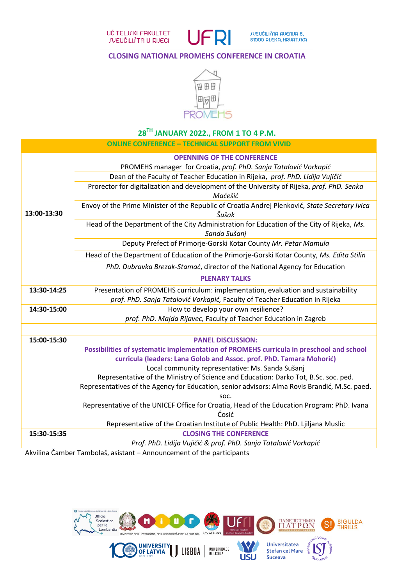UČITELJJKI FAKULTET **JUEUČILIJTA U RIJECI** 



## **CLOSING NATIONAL PROMEHS CONFERENCE IN CROATIA**



# **28TH JANUARY 2022., FROM 1 TO 4 P.M.**

|             | <b>ONLINE CONFERENCE - TECHNICAL SUPPORT FROM VIVID</b>                                                    |
|-------------|------------------------------------------------------------------------------------------------------------|
|             | <b>OPENNING OF THE CONFERENCE</b>                                                                          |
|             | PROMEHS manager for Croatia, prof. PhD. Sanja Tatalović Vorkapić                                           |
|             | Dean of the Faculty of Teacher Education in Rijeka, prof. PhD. Lidija Vujičić                              |
|             | Prorector for digitalization and development of the University of Rijeka, prof. PhD. Senka<br>Maćešić      |
| 13:00-13:30 | Envoy of the Prime Minister of the Republic of Croatia Andrej Plenković, State Secretary Ivica<br>Šušak    |
|             | Head of the Department of the City Administration for Education of the City of Rijeka, Ms.<br>Sanda Sušanj |
|             | Deputy Prefect of Primorje-Gorski Kotar County Mr. Petar Mamula                                            |
|             | Head of the Department of Education of the Primorje-Gorski Kotar County, Ms. Edita Stilin                  |
|             | PhD. Dubravka Brezak-Stamać, director of the National Agency for Education                                 |
|             | <b>PLENARY TALKS</b>                                                                                       |
| 13:30-14:25 | Presentation of PROMEHS curriculum: implementation, evaluation and sustainability                          |
|             | prof. PhD. Sanja Tatalović Vorkapić, Faculty of Teacher Education in Rijeka                                |
| 14:30-15:00 | How to develop your own resilience?                                                                        |
|             | prof. PhD. Majda Rijavec, Faculty of Teacher Education in Zagreb                                           |
|             |                                                                                                            |
| 15:00-15:30 | <b>PANEL DISCUSSION:</b>                                                                                   |
|             | Possibilities of systematic implementation of PROMEHS curricula in preschool and school                    |
|             | curricula (leaders: Lana Golob and Assoc. prof. PhD. Tamara Mohorić)                                       |
|             | Local community representative: Ms. Sanda Sušanj                                                           |
|             | Representative of the Ministry of Science and Education: Darko Tot, B.Sc. soc. ped.                        |
|             | Representatives of the Agency for Education, senior advisors: Alma Rovis Brandić, M.Sc. paed.<br>SOC.      |
|             | Representative of the UNICEF Office for Croatia, Head of the Education Program: PhD. Ivana                 |
|             | Ćosić<br>Representative of the Croatian Institute of Public Health: PhD. Ljiljana Muslic                   |
| 15:30-15:35 | <b>CLOSING THE CONFERENCE</b>                                                                              |
|             | Prof. PhD. Lidija Vujičić & prof. PhD. Sanja Tatalović Vorkapić                                            |
|             |                                                                                                            |

Akvilina Čamber Tambolaš, asistant – Announcement of the participants

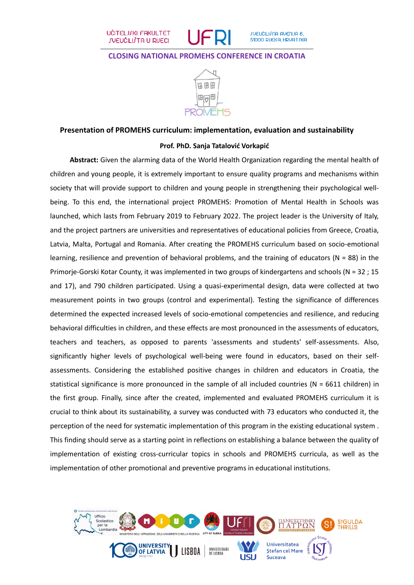

#### **CLOSING NATIONAL PROMEHS CONFERENCE IN CROATIA**



## **Presentation of PROMEHS curriculum: implementation, evaluation and sustainability**

#### **Prof. PhD. Sanja Tatalović Vorkapić**

**Abstract:** Given the alarming data of the World Health Organization regarding the mental health of children and young people, it is extremely important to ensure quality programs and mechanisms within society that will provide support to children and young people in strengthening their psychological wellbeing. To this end, the international project PROMEHS: Promotion of Mental Health in Schools was launched, which lasts from February 2019 to February 2022. The project leader is the University of Italy, and the project partners are universities and representatives of educational policies from Greece, Croatia, Latvia, Malta, Portugal and Romania. After creating the PROMEHS curriculum based on socio-emotional learning, resilience and prevention of behavioral problems, and the training of educators (N = 88) in the Primorje-Gorski Kotar County, it was implemented in two groups of kindergartens and schools (N = 32 ; 15 and 17), and 790 children participated. Using a quasi-experimental design, data were collected at two measurement points in two groups (control and experimental). Testing the significance of differences determined the expected increased levels of socio-emotional competencies and resilience, and reducing behavioral difficulties in children, and these effects are most pronounced in the assessments of educators, teachers and teachers, as opposed to parents 'assessments and students' self-assessments. Also, significantly higher levels of psychological well-being were found in educators, based on their selfassessments. Considering the established positive changes in children and educators in Croatia, the statistical significance is more pronounced in the sample of all included countries ( $N = 6611$  children) in the first group. Finally, since after the created, implemented and evaluated PROMEHS curriculum it is crucial to think about its sustainability, a survey was conducted with 73 educators who conducted it, the perception of the need for systematic implementation of this program in the existing educational system . This finding should serve as a starting point in reflections on establishing a balance between the quality of implementation of existing cross-curricular topics in schools and PROMEHS curricula, as well as the implementation of other promotional and preventive programs in educational institutions.

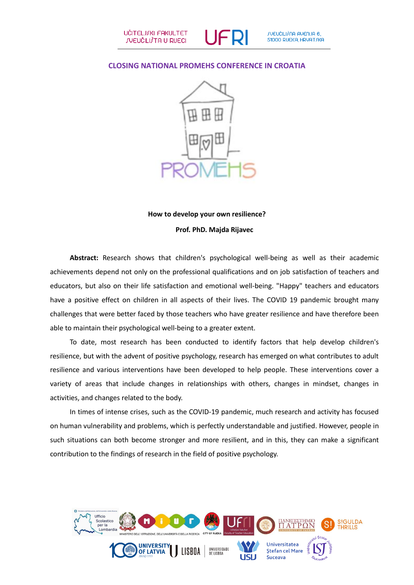### **CLOSING NATIONAL PROMEHS CONFERENCE IN CROATIA**



# **How to develop your own resilience? Prof. PhD. Majda Rijavec**

**Abstract:** Research shows that children's psychological well-being as well as their academic achievements depend not only on the professional qualifications and on job satisfaction of teachers and educators, but also on their life satisfaction and emotional well-being. "Happy" teachers and educators have a positive effect on children in all aspects of their lives. The COVID 19 pandemic brought many challenges that were better faced by those teachers who have greater resilience and have therefore been able to maintain their psychological well-being to a greater extent.

To date, most research has been conducted to identify factors that help develop children's resilience, but with the advent of positive psychology, research has emerged on what contributes to adult resilience and various interventions have been developed to help people. These interventions cover a variety of areas that include changes in relationships with others, changes in mindset, changes in activities, and changes related to the body.

In times of intense crises, such as the COVID-19 pandemic, much research and activity has focused on human vulnerability and problems, which is perfectly understandable and justified. However, people in such situations can both become stronger and more resilient, and in this, they can make a significant contribution to the findings of research in the field of positive psychology.